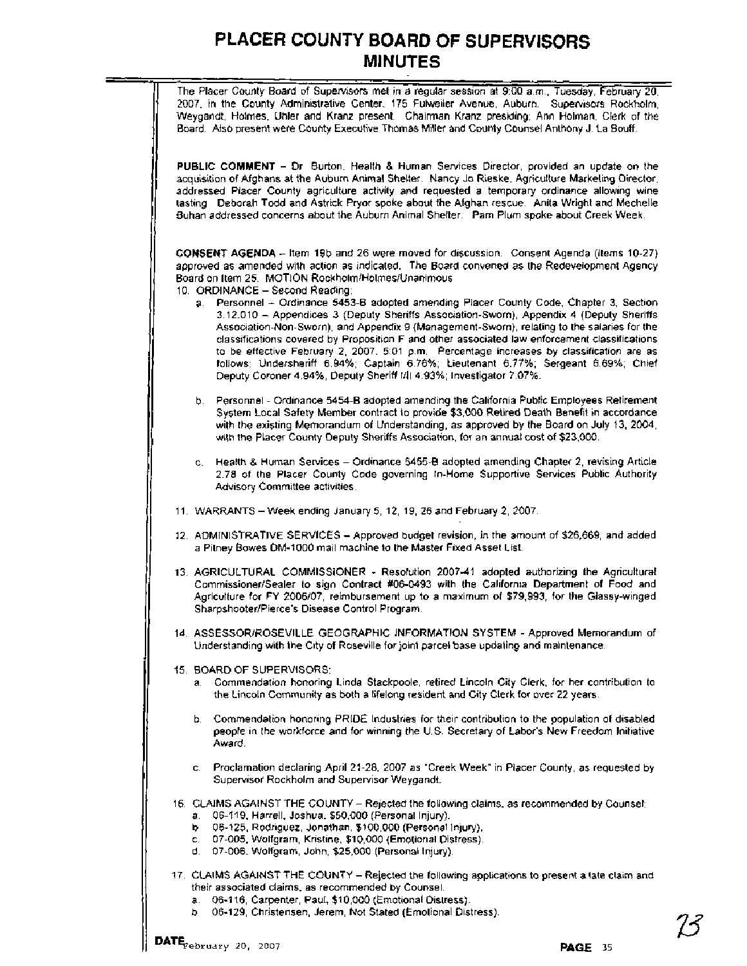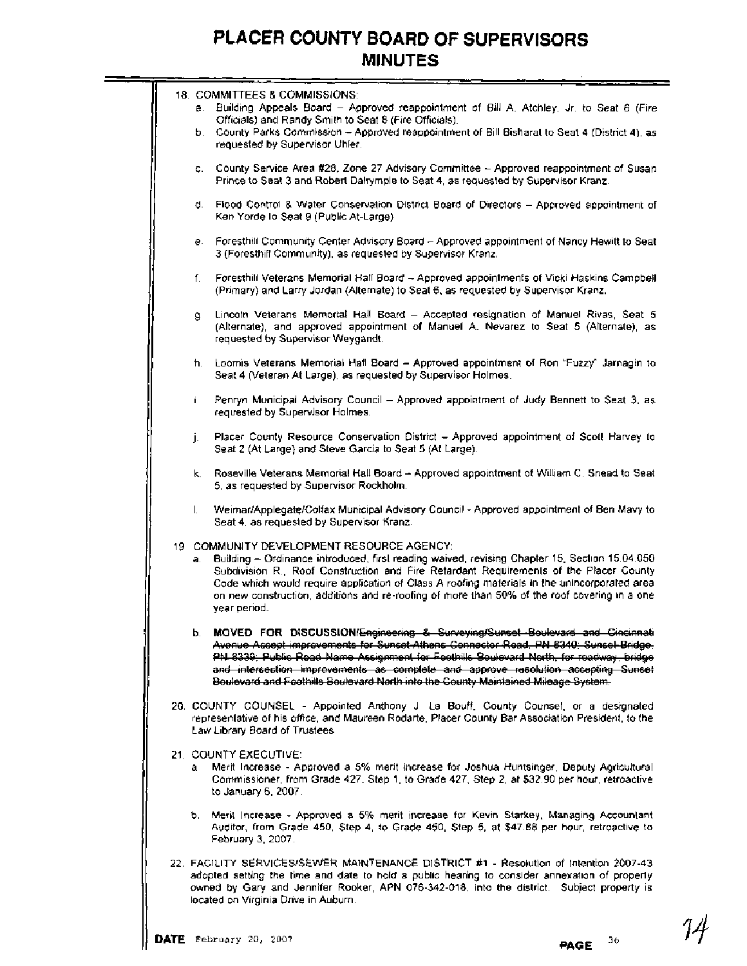|  | 18. COMMITTEES & COMMISSIONS:<br>a. Building Appeals Board - Approved reappointment of Bill A. Atchley, Jr. to Seat 6 (Fire<br>Officials) and Randy Smith to Seat 8 (Fire Officials).                                                                                                                                                                                                                                                                       |
|--|-------------------------------------------------------------------------------------------------------------------------------------------------------------------------------------------------------------------------------------------------------------------------------------------------------------------------------------------------------------------------------------------------------------------------------------------------------------|
|  | b. County Parks Commission - Approved reappointment of Bill Bisharat to Seat 4 (District 4), as<br>requested by Supervisor Uhler.                                                                                                                                                                                                                                                                                                                           |
|  | c. County Service Area #28, Zone 27 Advisory Committee - Approved reappointment of Susan<br>Prince to Seat 3 and Robert Dalrymple to Seat 4, as requested by Supervisor Kranz.                                                                                                                                                                                                                                                                              |
|  | Flood Control & Water Conservation District Board of Directors - Approved appointment of<br>d.<br>Ken Yorde Io Seat 9 (Public At-Large)                                                                                                                                                                                                                                                                                                                     |
|  | e. Foresthill Community Center Advisory Board - Approved appointment of Nancy Hewitt to Seat<br>3 (Foresthill Community), as requested by Supervisor Kranz.                                                                                                                                                                                                                                                                                                 |
|  | Foresthill Veterans Memorial Hall Board - Approved appointments of Vicki Haskins Campbell<br>f.<br>(Primary) and Larry Jordan (Alternate) to Seat 6, as requested by Supervisor Kranz.                                                                                                                                                                                                                                                                      |
|  | Lincoln Veterans Memorial Hall Board - Accepted resignation of Manuel Rivas, Seat 5<br>g.<br>(Alternate), and approved appointment of Manuel A. Nevarez to Seat 5 (Alternate), as<br>requested by Supervisor Weygandt.                                                                                                                                                                                                                                      |
|  | h. Loomis Veterans Memorial Hall Board - Approved appointment of Ron "Fuzzy" Jarnagin to<br>Seat 4 (Veteran At Large), as requested by Supervisor Holmes.                                                                                                                                                                                                                                                                                                   |
|  | Penryn Municipal Advisory Council - Approved appointment of Judy Bennett to Seat 3, as<br>Ĺ.<br>requested by Supervisor Holmes.                                                                                                                                                                                                                                                                                                                             |
|  | Placer County Resource Conservation District - Approved appointment of Scott Harvey to<br>Ĵ.<br>Seat 2 (At Large) and Steve Garcia to Seat 5 (At Large).                                                                                                                                                                                                                                                                                                    |
|  | k. Roseville Veterans Memorial Hall Board - Approved appointment of William C. Snead to Seat<br>5, as requested by Supervisor Rockholm.                                                                                                                                                                                                                                                                                                                     |
|  | Weimar/Applegate/Colfax Municipal Advisory Council - Approved appointment of Ben Mavy to<br>I.<br>Seat 4, as requested by Supervisor Kranz.                                                                                                                                                                                                                                                                                                                 |
|  | 19 COMMUNITY DEVELOPMENT RESOURCE AGENCY:<br>Building - Ordinance introduced, first reading waived, revising Chapter 15, Section 15.04.050.<br>a.<br>Subdivision R., Roof Construction and Fire Retardant Requirements of the Placer County<br>Code which would require application of Class A roofing materials in the unincorporated area<br>on new construction, additions and re-roofing of more than 50% of the roof covering in a one<br>year period. |
|  | b. MOVED FOR DISCUSSION/Engineering & Surveying/Sunset Boulevard and Cincinnati<br>Avenue Accept improvements for Sunset Athens Connector Road, PN 8340, Sunset Bridge,<br>PN 8339; Public Road Name Assignment for Foothills Boulevard North, for roadway, bridge<br>and intersection improvements as complete and approve resolution accepting Sunset<br>Boulevard and Foothills Boulevard North into the County Maintained Mileage System.               |
|  | 20. COUNTY COUNSEL - Appointed Anthony J La Bouff, County Counsel, or a designated<br>representative of his office, and Maureen Rodarte, Placer County Bar Association President, to the<br>Law Library Board of Trustees                                                                                                                                                                                                                                   |
|  | 21. COUNTY EXECUTIVE:<br>a Merit Increase - Approved a 5% merit increase for Joshua Huntsinger, Deputy Agricultural<br>Commissioner, from Grade 427, Step 1, to Grade 427, Step 2, at \$32.90 per hour, retroactive<br>to January 6, 2007.                                                                                                                                                                                                                  |
|  | b. Merit Increase - Approved a 5% merit increase for Kevin Starkey, Managing Accountant<br>Auditor, from Grade 450, Step 4, to Grade 450, Step 5, at \$47.88 per hour, retroactive to<br>February 3, 2007.                                                                                                                                                                                                                                                  |
|  | 22. FACILITY SERVICES/SEWER MAINTENANCE DISTRICT #1 - Resolution of Intention 2007-43<br>adopted setting the time and date to hold a public hearing to consider annexation of properly<br>owned by Gary and Jennifer Rooker, APN 076-342-018, into the district. Subject property is<br>located on Virginia Drive in Auburn.                                                                                                                                |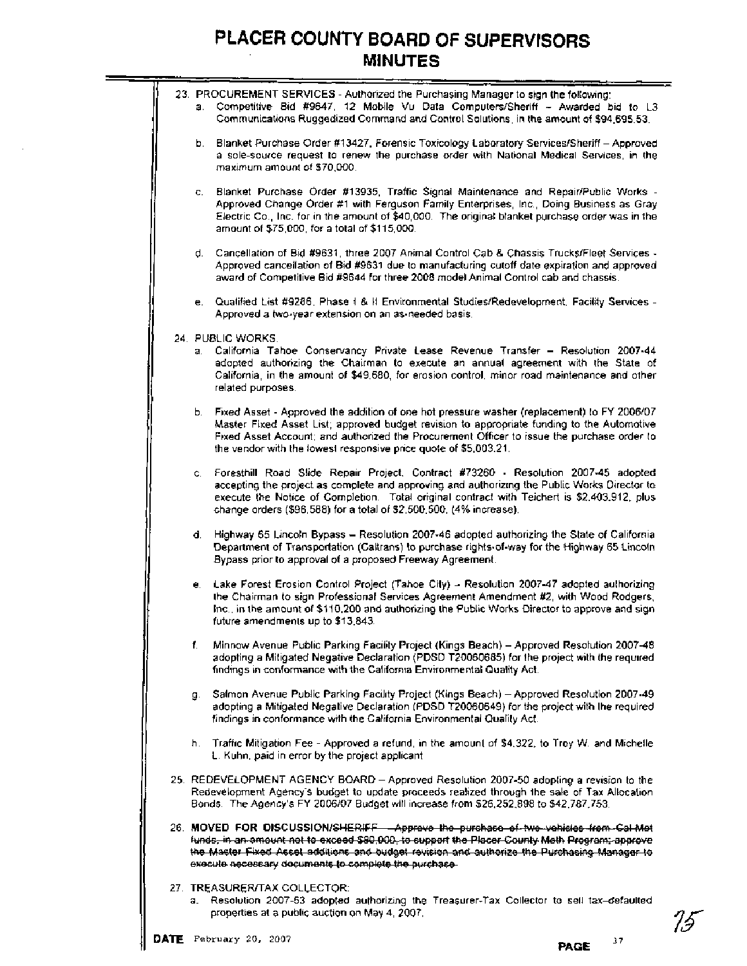|  |    | 23. PROCUREMENT SERVICES - Authorized the Purchasing Manager to sign the following:<br>a. Competitive Bid #9647, 12 Mobile Vu Data Computers/Sheriff - Awarded bid to L3<br>Communications Ruggedized Command and Control Solutions, in the amount of \$94,695.53.                                                                                         |
|--|----|------------------------------------------------------------------------------------------------------------------------------------------------------------------------------------------------------------------------------------------------------------------------------------------------------------------------------------------------------------|
|  | b. | Blanket Purchase Order #13427, Forensic Toxicology Laboratory Services/Sheriff - Approved<br>a sole-source request to renew the purchase order with National Medical Services, in the<br>maximum amount of \$70,000.                                                                                                                                       |
|  | C. | Blanket Purchase Order #13935, Traffic Signal Maintenance and Repair/Public Works -<br>Approved Change Order #1 with Ferguson Family Enterprises, Inc., Doing Business as Gray<br>Electric Co., Inc. for in the amount of \$40,000. The original blanket purchase order was in the<br>amount of \$75,000, for a total of \$115,000.                        |
|  |    | d. Cancellation of Bid #9631, three 2007 Animal Control Cab & Chassis Trucks/Fleet Services -<br>Approved cancellation of Bid #9631 due to manufacturing cutoff date expiration and approved<br>award of Competitive Bid #9644 for three 2008 model Animal Control cab and chassis.                                                                        |
|  |    | e. Qualified List #9286, Phase I & II Environmental Studies/Redevelopment, Facility Services -<br>Approved a two-year extension on an as-needed basis.                                                                                                                                                                                                     |
|  | а. | 24. PUBLIC WORKS.<br>California Tahoe Conservancy Private Lease Revenue Transfer - Resolution 2007-44<br>adopted authorizing the Chairman to execute an annual agreement with the State of<br>California, in the amount of \$49,680, for erosion control, minor road maintenance and other<br>related purposes.                                            |
|  | Ь. | Fixed Asset - Approved the addition of one hot pressure washer (replacement) to FY 2006/07<br>Master Fixed Asset List; approved budget revision to appropriate funding to the Automotive<br>Fixed Asset Account; and authorized the Procurement Officer to issue the purchase order to<br>the vendor with the lowest responsive price quote of \$5,003.21. |
|  | ¢. | Foresthill Road Slide Repair Project, Contract #73260 - Resolution 2007-45 adopted<br>accepting the project as complete and approving and authorizing the Public Works Director to<br>execute the Notice of Completion. Total original contract with Teichert is \$2,403,912, plus<br>change orders (\$96,588) for a total of \$2,500,500, (4% increase).  |
|  | d. | Highway 65 Lincoln Bypass - Resolution 2007-46 adopted authorizing the State of California<br>Department of Transportation (Caltrans) to purchase rights-of-way for the Highway 65 Lincoln<br>Bypass prior to approval of a proposed Freeway Agreement.                                                                                                    |
|  |    | e. Lake Forest Erosion Control Project (Tahoe City) - Resolution 2007-47 adopted authorizing<br>the Chairman to sign Professional Services Agreement Amendment #2, with Wood Rodgers,<br>Inc., in the amount of \$110,200 and authorizing the Public Works Director to approve and sign<br>future amendments up to \$13,843.                               |
|  | f. | Minnow Avenue Public Parking Facility Project (Kings Beach) - Approved Resolution 2007-48<br>adopting a Mitigated Negative Declaration (PDSD T20060685) for the project with the required<br>findings in conformance with the California Environmental Quality Act.                                                                                        |
|  | g. | Salmon Avenue Public Parking Facility Project (Kings Beach) - Approved Resolution 2007-49<br>adopting a Mitigated Negative Declaration (PDSD T20060649) for the project with the required<br>findings in conformance with the California Environmental Quality Act.                                                                                        |
|  |    | h. Traffic Mitigation Fee - Approved a refund, in the amount of \$4.322, to Troy W. and Michelle<br>L. Kuhn, paid in error by the project applicant.                                                                                                                                                                                                       |
|  |    | 25. REDEVELOPMENT AGENCY BOARD - Approved Resolution 2007-50 adopting a revision to the<br>Redevelopment Agency's budget to update proceeds realized through the sale of Tax Allocation<br>Bonds. The Agency's FY 2006/07 Budget will increase from \$26,252,898 to \$42,787,753.                                                                          |
|  |    | 26. MOVED FOR DISCUSSION/SHERIFF - Approve the purchase of two vehicles from Gal-Met<br>funds, in an amount not to exceed \$80,000, to support the Placer County Meth Program; approve<br>the Master Fixed Asset additions and budget revision and authorize the Purchasing Manager to<br>execute necessary documents to complete the purchase-            |
|  | а. | 27. TREASURER/TAX COLLECTOR:<br>Resolution 2007-53 adopted authorizing the Treasurer-Tax Collector to sell tax-defaulted                                                                                                                                                                                                                                   |

۰

properties at a public auction on May 4, 2007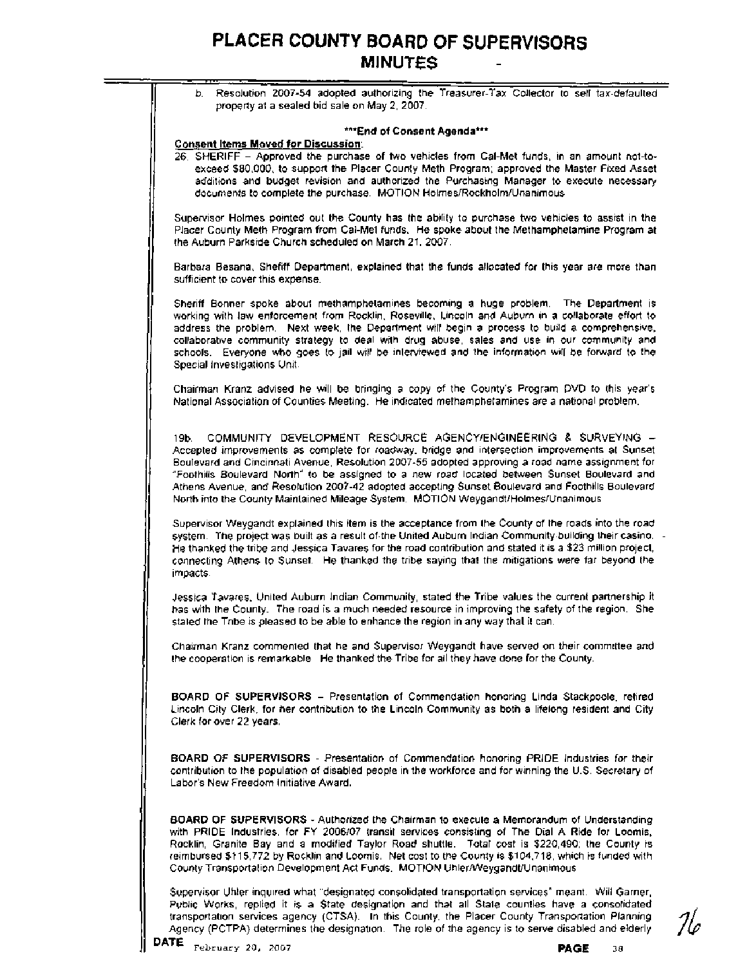| b. Resolution 2007-54 adopted authorizing the Treasurer-Tax Collector to sell tax-defaulted<br>property at a sealed bid sale on May 2, 2007.                                                                                                                                                                                                                                                                                                                                                                                                                             |
|--------------------------------------------------------------------------------------------------------------------------------------------------------------------------------------------------------------------------------------------------------------------------------------------------------------------------------------------------------------------------------------------------------------------------------------------------------------------------------------------------------------------------------------------------------------------------|
| ***End of Consent Agenda***                                                                                                                                                                                                                                                                                                                                                                                                                                                                                                                                              |
| <b>Consent Items Moved for Discussion:</b><br>26. SHERIFF - Approved the purchase of two vehicles from Cal-Met funds, in an amount not-to-<br>exceed \$80,000, to support the Placer County Meth Program; approved the Master Fixed Asset<br>additions and budget revision and authorized the Purchasing Manager to execute necessary<br>documents to complete the purchase. MOTION Holmes/Rockholm/Unanimous                                                                                                                                                            |
| Supervisor Holmes pointed out the County has the ability to purchase two vehicles to assist in the<br>Placer County Meth Program from Cal-Met funds. He spoke about the Methamphetamine Program at<br>the Auburn Parkside Church scheduled on March 21, 2007.                                                                                                                                                                                                                                                                                                            |
| Barbara Besana, Shefiff Department, explained that the funds allocated for this year are more than<br>sufficient to cover this expense.                                                                                                                                                                                                                                                                                                                                                                                                                                  |
| Sheriff Bonner spoke about methamphetamines becoming a huge problem. The Department is<br>working with law enforcement from Rocklin, Roseville, Lincoln and Auburn in a collaborate effort to<br>address the problem. Next week, the Department will begin a process to build a comprehensive,<br>collaborative community strategy to deal with drug abuse, sales and use in our community and<br>schools. Everyone who goes to jail will be interviewed and the information will be forward to the<br>Special Investigations Unit.                                      |
| Chairman Kranz advised he will be bringing a copy of the County's Program DVD to this year's<br>National Association of Counties Meeting. He indicated methamphetamines are a national problem.                                                                                                                                                                                                                                                                                                                                                                          |
| COMMUNITY DEVELOPMENT RESOURCE AGENCY/ENGINEERING & SURVEYING -<br>19b. –<br>Accepted improvements as complete for roadway, bridge and intersection improvements at Sunset<br>Boulevard and Cincinnati Avenue, Resolution 2007-55 adopted approving a road name assignment for<br>"Foothills Boulevard North" to be assigned to a new road located between Sunset Boulevard and<br>Athens Avenue, and Resolution 2007-42 adopted accepting Sunset Boulevard and Foothills Boulevard<br>North into the County Maintained Mileage System. MOTION Weygandt/Holmes/Unanimous |
| Supervisor Weygandt explained this item is the acceptance from the County of the roads into the road<br>system. The project was built as a result of the United Auburn Indian Community building their casino.<br>He thanked the tribe and Jessica Tavares for the road contribution and stated it is a \$23 million project,<br>connecting Athens to Sunset. He thanked the tribe saying that the mitigations were far beyond the<br>impacts.                                                                                                                           |
| Jessica Tavares, United Auburn Indian Community, stated the Tribe values the current partnership it<br>has with the County. The road is a much needed resource in improving the safety of the region. She<br>stated the Tribe is pleased to be able to enhance the region in any way that it can.                                                                                                                                                                                                                                                                        |
| Chairman Kranz commented that he and Supervisor Weygandt have served on their committee and<br>the cooperation is remarkable. He thanked the Tribe for all they have done for the County.                                                                                                                                                                                                                                                                                                                                                                                |
| BOARD OF SUPERVISORS - Presentation of Commendation honoring Linda Stackpoole, refired<br>Lincoln City Clerk, for her contribution to the Lincoln Community as both a lifelong resident and City<br>Clerk for over 22 years.                                                                                                                                                                                                                                                                                                                                             |
| BOARD OF SUPERVISORS - Presentation of Commendation honoring PRIDE Industries for their<br>contribution to the population of disabled people in the workforce and for winning the U.S. Secretary of<br>Labor's New Freedom Initiative Award.                                                                                                                                                                                                                                                                                                                             |
| BOARD OF SUPERVISORS - Authorized the Chairman to execute a Memorandum of Understanding<br>with PRIDE Industries, for FY 2006/07 transit services consisting of The Dial A Ride for Loomis,<br>Rocklin, Granite Bay and a modified Taylor Road shuttle. Total cost is \$220,490; the County is<br>reimbursed \$115,772 by Rocklin and Loomis. Net cost to the County is \$104,718, which is funded with<br>County Transportation Development Act Funds. MOTION Uhler/Weygandt/Unanimous                                                                                  |
| Supervisor Uhler inquired what "designated consolidated transportation services" meant. Will Garner,<br>Public Works, replied it is a State designation and that all State counties have a consolidated<br>transportation services agency (CTSA). In this County, the Placer County Transportation Planning                                                                                                                                                                                                                                                              |

Agency (PCTPA) determines the designation. The role of the agency is to serve disabled and elderly

He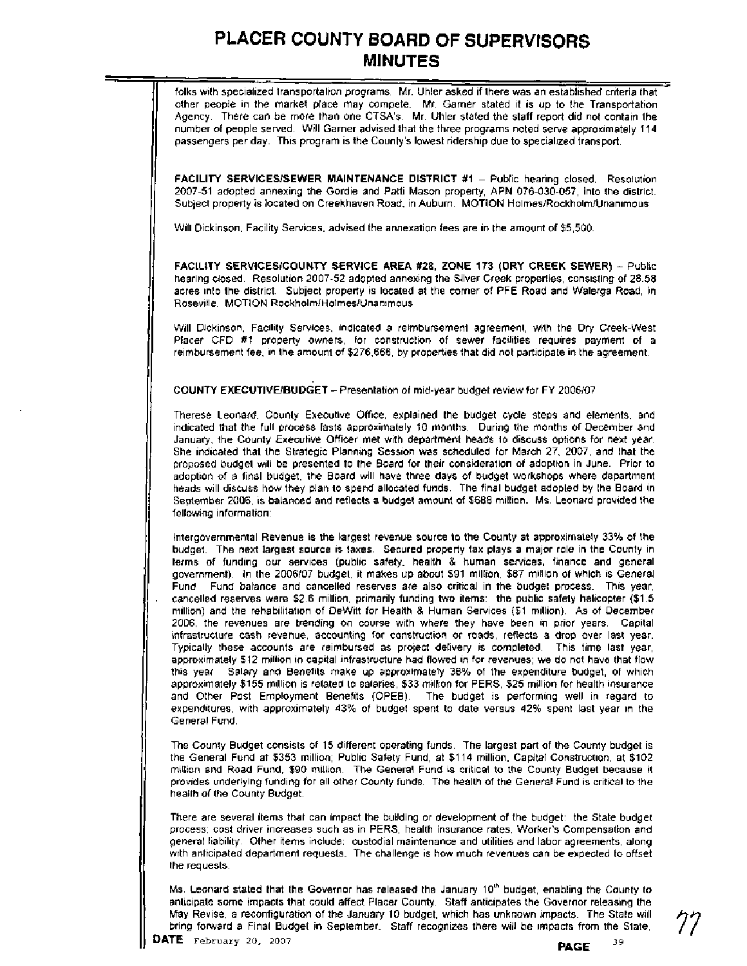folks with specialized transportation programs. Mr. Uhler asked if there was an established criteria that other people in the market place may compete. Mr. Garner stated it is up to the Transportation Agency. There can be more than one CTSA's. Mr. Uhler stated the staff report did not contain the number of people served. Will Garner advised that the three programs noted serve approximately **114**  passengers per day. This program is the County's lowest ridership due to specialized transport.

**FACILITY SERVICES/SEWER MAINTENANCE DISTRICT #1 - Public hearing closed. Resolution 2007-51** adopted annexing the Gordie and Patti Mason property, APN **076-030-057,** into the district. Subject property is located on Creekhaven Road, in Auburn. MOTION Holmes/Rockholm/Unanimous

Will Dickinson, Facility Services, advised the annexation fees are in the amount of \$5,500.

**FACILITY SERVlCESlCOUNTY SERVICE AREA #28, ZONE 173 (DRY CREEK SEWER)** - Public hearing closed. Resolution **2007-52** adopted annexing the Silver Creek properties, consisting of **28.58**  acres into the district. Subject property is located at the corner of PFE Road and Walerga Road, in Roseville. MOTION RockholmlHolmeslUnanimous

Will Dickinson, Facility Services, indicated a reimbursement agreement, with the Dry Creek-West Placer CFD **#I** property owners, for construction of sewer facilities requires payment of a reimbursement fee, in the amount of **\$276,666,** by properties that did not participate in the agreement.

11 **COUNTY EXECUTIVEIBUDGET** - Presentation of mid-year budget review for FY **2006107.** 

Therese Leonard, County Executive Office, explained the budget cycle steps and elements, and indicated that the full process lasts approximately **10** months. During the months of December and January, the County Executive Officer met with department heads to discuss options for next year. She indicated that the Strategic Planning Session was scheduled for March **27, 2007,** and that the proposed budget will be presented to the Board for their consideration of adoption in June. Prior to adoption of a final budget, the Board will have three days of budget workshops where department heads will discuss how they plan to spend allocated funds. The final budget adopted by the Board in September **2006,** is balanced and reflects a budget amount of **\$688** million. Ms. Leonard provided the following information:

Intergovernmental Revenue is the largest revenue source to the County at approximately **33%** of the budget. The next largest source is taxes. Secured property tax plays a major role in the County in terms of funding our services (public safety, health & human services, finance and general government). In the **2006107** budget, it makes up about **\$91** million, **\$87** million of which is General Fund. Fund balance and cancelled reserves are also critical in the budget process. This year, cancelled reserves were **\$2.6** million, primarily funding two items: the public safety helicopter **(\$1.5**  million) and the rehabilitation of DeWitt for Health & Human Services **(\$1** million). As of December **2006,** the revenues are trending on course with where they have been in prior years. Capital infrastructure cash revenue, accounting for construction or roads, reflects a drop over last year. Typically these accounts are reimbursed as project delivery is completed. This time last year, approximately **\$12** million in capital infrastructure had flowed in for revenues; we do not have that flow this year. Salary and Benefits make up approximately **36%** of the expenditure budget, of which approximately **\$155** million is related to salaries, **\$33** million for PERS, **\$25** million for health insurance and Other Post Employment Benefits (OPEB). The budget is performing well in regard to expenditures, with approximately **43%** of budget spent to date versus **42%** spent last year in the General Fund.

The County Budget consists of **15** different operating funds. The largest part of the County budget is the General Fund at **\$353** million; Public Safety Fund, at **\$114** million, Capital Construction, at **\$102**  million and Road Fund, **\$90** million. The General Fund is critical to the County Budget because it provides underlying funding for all other County funds. The health of the General Fund is critical to the health of the County Budget.

There are several items that can impact the building or development of the budget: the State budget process; cost driver increases such as in PERS, health insurance rates, Worker's Compensation and general liability. Other items include: custodial maintenance and utilities and labor agreements, along with anticipated department requests. The challenge is how much revenues can be expected to offset the requests.

Ms. Leonard stated that the Governor has released the January 10<sup>th</sup> budget, enabling the County to anticipate some impacts that could affect Placer County. Staff anticipates the Governor releasing the May Revise, a reconfiguration of the January **10** budget, which has unknown impacts. The State will bring forward a Final Budget in September. Staff recognizes there will be impacts from the State,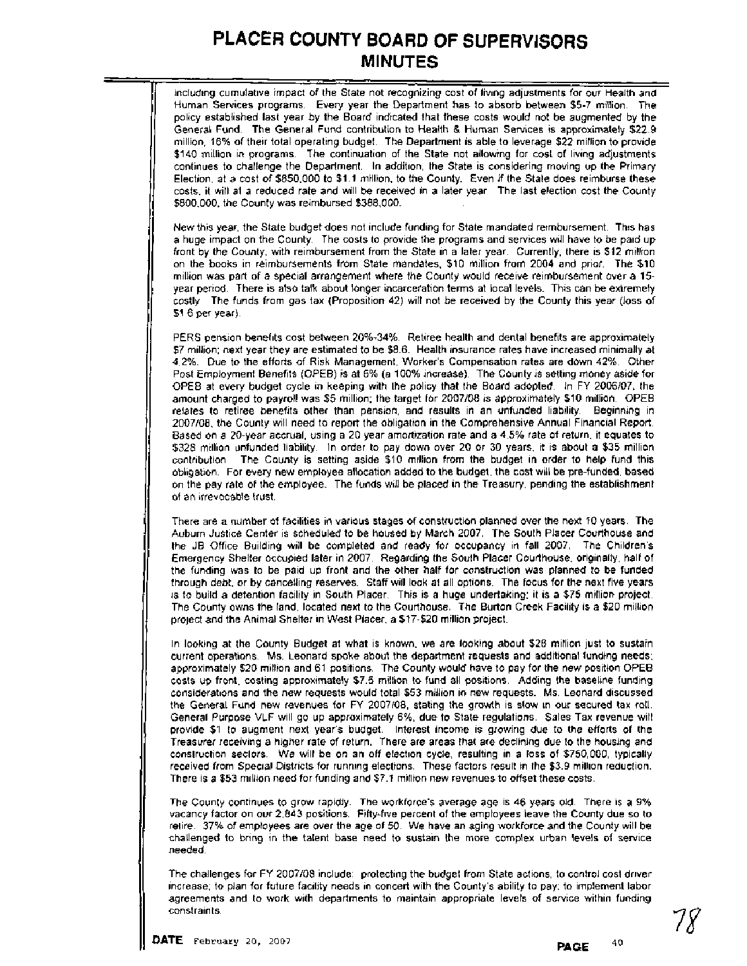including cumulative impact of the State not recognizing cost of living adjustments for our Health and Human Services programs. Every year the Department has to absorb between \$5-7 million. The policy established last year by the Board indicated that these costs would not be augmented by the General Fund. The General Fund contribution to Health & Human Services is approximately \$22.9 million, 16% of their total operating budget. The Department is able to leverage \$22 million to provide \$140 million in programs. The continuation of the State not allowing for cost of living adjustments continues to challenge the Department. In addition, the State is considering moving up the Primary Election, at a cost of \$850,000 to \$1.1 million, to the County. Even if the State does reimburse these costs, it will at a reduced rate and will be received in a later year. The last election cost the County \$800,000; the County was reimbursed \$388,000.

New this year, the State budget does not include funding for State mandated reimbursement. This has a huge impact on the County. The costs to provide the programs and services will have to be paid up front by the County, with reimbursement from the State in a later year. Currently, there is \$12 million on the books in reimbursements from State mandates, \$10 million from 2004 and prior. The \$10 million was part of a special arrangement where the County would receive reimbursement over a 15 year period. There is also talk about longer incarceration terms at local levels. This can be extremely costly. The funds from gas tax (Proposition 42) will not be received by the County this year (loss of \$1.6 per year).

PERS pension benefits cost between 20%-34%. Retiree health and dental benefits are approximately \$7 million; next year they are estimated to be \$8.6. Health insurance rates have increased minimally at 4.2%. Due to the efforts of Risk Management, Worker's Compensation rates are down 42%. Other Post Employment Benefits (OPEB) is at 6% (a 100% increase). The County is setting money aside for OPEB at every budget cycle in keeping with the policy that the Board adopted. In FY 2006107, the amount charged to payroll was \$5 million; the target for 2007108 is approximately \$10 million. OPEB relates to retiree benefits other than pension, and results in an unfunded liability. Beginning in 2007108, the County will need to report the obligation in the Comprehensive Annual Financial Report. Based on a 20-year accrual, using a 20 year amortization rate and a 4.5% rate of return, it equates to \$328 million unfunded liability. In order to pay down over 20 or 30 years, it is about a \$35 million contribution. The County is setting aside \$10 million from the budget in order to help fund this obligation. For every new employee allocation added to the budget, the cost will be pre-funded, based on the pay rate of the employee. The funds will be placed in the Treasury, pending the establishment of an irrevocable trust.

There are a number of facilities in various stages of construction planned over the next 10 years. The Auburn Justice Center is scheduled to be housed by March 2007. The South Placer Courthouse and the JB Office Building will be completed and ready for occupancy in fall 2007. The Children's Emergency Shelter occupied later in 2007. Regarding the South Placer Courthouse, originally, half of the funding was to be paid up front and the other half for construction was planned to be funded through debt, or by cancelling reserves. Staff will look at all options. The focus for the next five years is to build a detention facility in South Placer. This is a huge undertaking; it is a \$75 million project. The County owns the land, located next to the Courthouse. The Burton Creek Facility is a \$20 million project and the Animal Shelter in West Placer, a \$17-\$20 million project.

In looking at the County Budget at what is known, we are looking about \$28 million just to sustain current operations. Ms. Leonard spoke about the department requests and additional funding needs; approximately \$20 million and 61 positions. The County would have to pay for the new position OPEB costs up front, costing approximately \$7.5 million to fund all positions. Adding the baseline funding considerations and the new requests would total \$53 million in new requests. Ms. Leonard discussed the General Fund new revenues for FY 2007/08, stating the growth is slow in our secured tax roll. General Purpose VLF will go up approximately 6%, due to State regulations. Sales Tax revenue will provide \$1 to augment next year's budget. Interest income is growing due to the efforts of the Treasurer receiving a higher rate of return. There are areas that are declining due to the housing and construction sectors. We will be on an off election cycle, resulting in a loss of \$750,000, typically received from Special Districts for running elections. These factors result in the \$3.9 million reduction. There is a \$53 million need for funding and \$7.1 million new revenues to offset these costs.

The County continues to grow rapidly. The workforce's average age is 46 years old. There is a 9% vacancy factor on our 2.843 positions. Fifty-five percent of the employees leave the County due so to retire. 37% of employees are over the age of 50. We have an aging workforce and the County will be challenged to bring in the talent base need to sustain the more complex urban levels of service needed.

The challenges for FY 2007/08 include: protecting the budget from State actions, to control cost driver<br>increase; to plan for future facility needs in concert with the County's ability to pay; to implement labor<br>agreements increase; to plan for future facility needs in concert with the County's ability to pay; to implement labor agreements and to work with departments to maintain appropriate levels of service within funding constraints.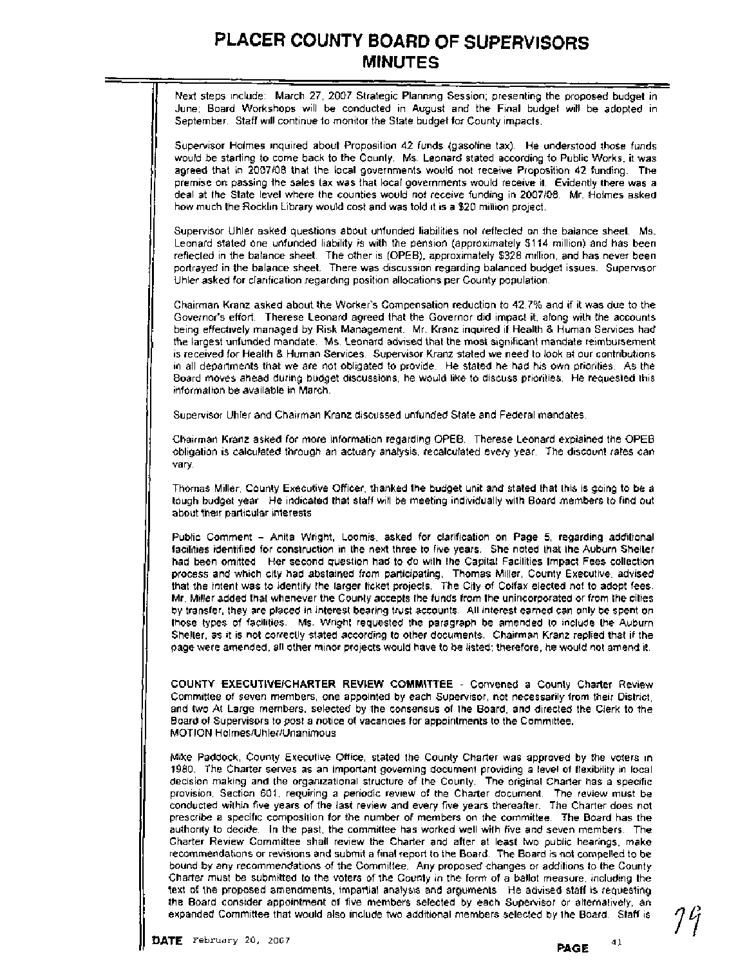Next steps include: March 27, 2007 Strategic Planning Session; presenting the proposed budget in June; Board Workshops will be conducted in August and the Final budget will be adopted in September. Staff will continue to monitor the State budget for County impacts.

Supervisor Holmes inquired about Proposition 42 funds (gasoline tax). He understood those funds would be starting to come back to the County. Ms. Leonard stated according to Public Works, it was agreed that in 2007108 that the local governments would not receive Proposition 42 funding. The premise on passing the sales tax was that local governments would receive it. Evidently there was a deal at the State level where the counties would not receive funding in 2007108. Mr. Holmes asked how much the Rocklin Library would cost and was told it is a \$20 million project.

Supervisor Uhler asked questions about unfunded liabilities not reflected on the balance sheet. Ms. Leonard stated one unfunded liability is with the pension (approximately \$114 million) and has been reflected in the balance sheet. The other is (OPEB), approximately \$328 million, and has never been portrayed in the balance sheet. There was discussion regarding balanced budget issues. Supervisor Uhler asked for clarification regarding position allocations per County population.

Chairman Kranz asked about the Worker's Compensation reduction to 42.7% and if it was due to the Governor's effort. Therese Leonard agreed that the Governor did impact it, along with the accounts being effectively managed by Risk Management. Mr. Kranz inquired if Health & Human Services had the largest unfunded mandate. Ms. Leonard advised that the most significant mandate reimbursement is received for Health & Human Services. Supervisor Kranz stated we need to look at our contributions in all departments that we are not obligated to provide. He stated he had his own priorities. As the Board moves ahead during budget discussions, he would like to discuss priorities. He requested this information be available in March.

Supervisor Uhler and Chairman Kranz discussed unfunded State and Federal mandates.

Chairman Kranz asked for more information regarding OPEB. Therese Leonard explained the OPEB obligation is calculated through an actuary analysis, recalculated every year. The discount rates can vary.

Thomas Miller, County Executive Officer, thanked the budget unit and stated that this is going to be a tough budget year. He indicated that staff will be meeting individually with Board members to find out about their particular interests.

Public Comment - Anita Wright, Loomis, asked for clarification on Page 5, regarding additional facilities identified for construction in the next three to five years. She noted that the Auburn Shelter had been omitted. Her second question had to do with the Capital Facilities Impact Fees collection process and which city had abstained from participating. Thomas Miller, County Executive, advised that the intent was to identify the larger ticket projects. The City of Colfax elected not to adopt fees. Mr. Miller added that whenever the County accepts the funds from the unincorporated or from the cities by transfer, they are placed in interest bearing trust accounts. All interest earned can only be spent on those'types of facilities. Ms. Wright requested the paragraph be amended to include the Auburn Shelter, as it is not correctly stated according to other documents. Chairman Kranz replied that if the page were amended, all other minor projects would have to be listed; therefore, he would not amend it.

**COUNTY EXECUTIVEICHARTER REVIEW COMMITTEE** - Convened a County Charter Review Committee of seven members, one appointed by each Supervisor, not necessarily from their District, and two At Large members, selected by the consensus of the Board, and directed the Clerk to the Board of Supervisors to post a notice of vacancies for appointments to the Committee. MOTION Holmes/Uhler/Unanimous

Mike Paddock, County Executive Office, stated the County Charter was approved by the voters in 1980. The Charter serves as an important governing document providing a level of flexibility in local decision making and the organizational structure of the County. The original Charter has a specific provision, Section 601, requiring a periodic review of the Charter document. The review must be conducted within five years of the last review and every five years thereafter. The Charter does not prescribe a specific composition for the number of members on the committee. The Board has the authority to decide. In the past, the committee has worked well with five and seven members. The Charter Review Committee shall review the Charter and after at least two public hearings, make recommendations or revisions and submit **a** final report to the Board. The Board is not compelled to be bound by any recommendations of the Committee. Any proposed changes or additions to the County Charter must be submitted to the voters of the County in the form of a ballot measure, including the text of the proposed amendments, impartial analysis and arguments. He advised staff is requesting the Board consider appointment of five members selected by each Supervisor or alternatively, an expanded Committee that would also include two additional members selected by the Board. Staff 1s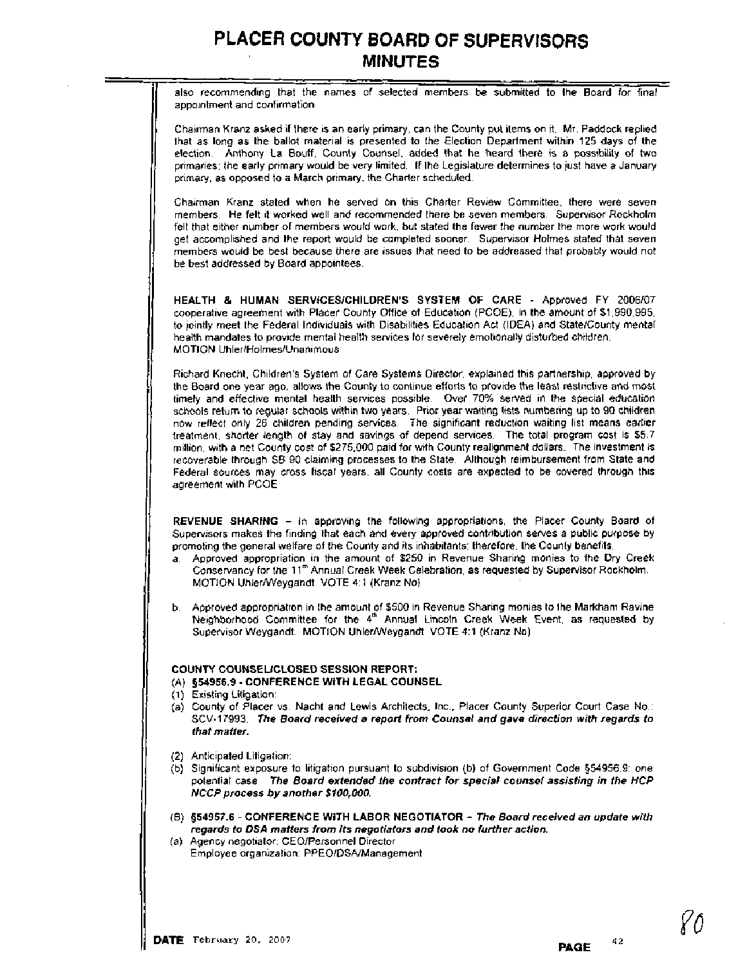also recommending that the names of selected members be submitted to the Board for final appointment and confirmation.

Chairman Kranz asked if there is an early primary, can the County put items on it. Mr. Paddock replied that as long as the ballot material is presented to the Election Department within 125 days of the election. Anthony La Bouff, County Counsel, added that he heard there is a possibility of two primaries; the early primary would be very limited. If the Legislature determines to just have a January primary, as opposed to a March primary, the Charter scheduled.

Chairman Kranz stated when he served on this Charter Review Committee, there were seven members. He felt it worked well and recommended there be seven members. Supervisor Rockholm felt that either number of members would work, but stated the fewer the number the more work would get accomplished and the report would be completed sooner. Supervisor Holmes stated that seven members would be best because there are issues that need to be addressed that probably would not be best addressed by Board appointees.

HEALTH & HUMAN SERVICESICHILDREN'S SYSTEM OF CARE - Approved FY 2006107 cooperative agreement with Placer County Office of Education (PCOE), in the amount of \$1,990,995, to jointly meet the Federal Individuals with Disabilities Education Act (IDEA) and Statelcounty mental health mandates to provide mental health services for severely emotionally disturbed children. MOTION Uhler/HolmeslUnanimous

I Richard Knecht, Children's System of Care Systems Director, explained this partnership, approved by I the Board one year ago, allows the County to continue efforts to provide the least restrictive and most timely and effective mental health services possible. Over 70% served in the special education schools return to regular schools within two years. Prior year waiting lists numbering up to 90 children now reflect only 26 children pending services. The significant reduction waiting list means earlier treatment, shorter length of stay and savings of depend services. The total program cost is \$5.7 million, with a net County cost of \$275,000 paid for with County realignment dollars. The investment is recoverable through SB 90 claiming processes to the State. Although reimbursement from State and Federal sources may cross fiscal years, all County costs are expected to be covered through this agreement with PCOE.

REVENUE SHARING - In approving the following appropriations, the Placer County Board of Supervisors makes the finding that each and every approved contribution serves a public purpose by promoting the general welfare of the County and its inhabitants; therefore, the County benefits.

- a. Approved appropriation in the amount of \$250 in Revenue Sharing monies to the Dry Creek Conservancy for the 11" Annual Creek Week Celebration, as requested by Supervisor Rockholm. MOTION Uhler/Weygandt VOTE 4:1 (Kranz No)
- b. Approved appropriation in the amount of \$500 in Revenue Sharing monies to the Markham Ravine Neighborhood Committee for the 4<sup>th</sup> Annual Lincoln Creek Week Event, as requested by Supervisor Weygandt. MOTION Uhler/Weygandt VOTE 4:1 (Kranz No).

#### COUNTY COUNSELICLOSED SESSION REPORT:

- (A) **954956.9**  CONFERENCE WlTH LEGAL COUNSEL
- (1) Existing Litigation:
- (a) County of Placer vs. Nacht and Lewis Architects, Inc., Placer County Superior Court Case No.: SCV-17993. **The Board received a report from Counsel and gave direction with regards to that matter.**
- (2) Anticipated Litigation:
- (b) Significant exposure to litigation pursuant to subdivision (b) of Government Code 554956.9: one potential case. **The Board extended the contract for special counsel assisting in the HCP NCCP process by another \$100,000.**
- (6) **354957.6**  CONFERENCE WlTH LABOR NEGOTIATOR **The Board received an update with regards to DSA matters from its negotiators and took no further action.**
- (a) Agency negotiator: CEOlPersonnel Director Employee organization: PPEOIDSNManagement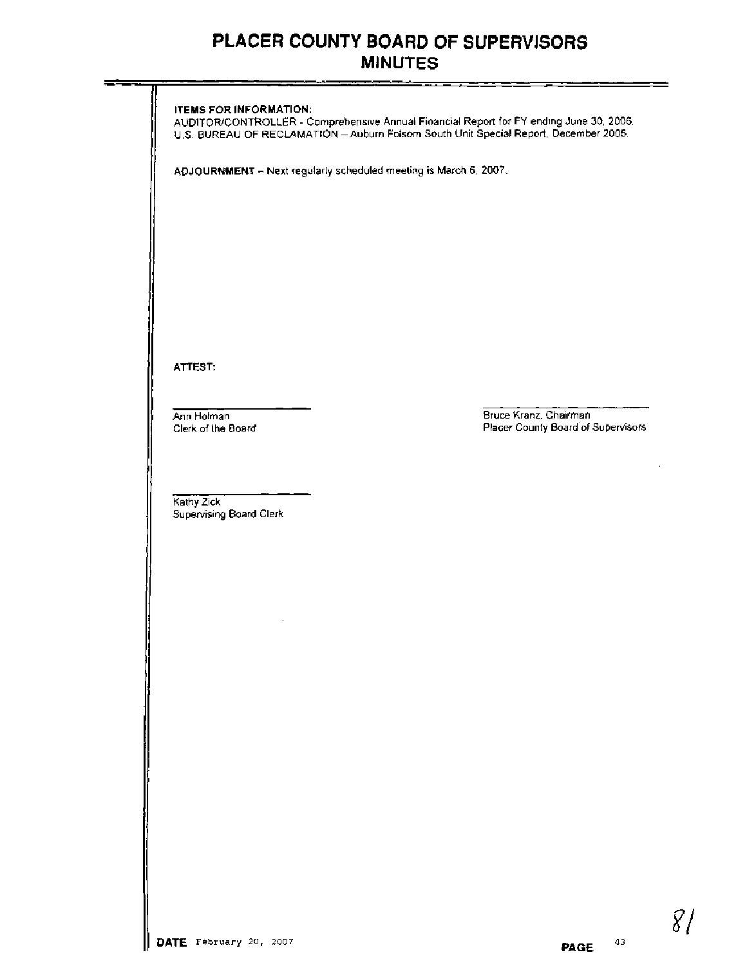|                                                                  | U.S. BUREAU OF RECLAMATION - Auburn Folsom South Unit Special Report, December 2006. |
|------------------------------------------------------------------|--------------------------------------------------------------------------------------|
| ADJOURNMENT - Next regularly scheduled meeting is March 6, 2007. |                                                                                      |
|                                                                  |                                                                                      |
|                                                                  |                                                                                      |
|                                                                  |                                                                                      |
|                                                                  |                                                                                      |
|                                                                  |                                                                                      |
|                                                                  |                                                                                      |
|                                                                  |                                                                                      |
| ATTEST:                                                          |                                                                                      |
|                                                                  |                                                                                      |
| Ann Holman<br>Clerk of the Board                                 | Bruce Kranz, Chairman<br>Placer County Board of Supervisors                          |
|                                                                  |                                                                                      |
|                                                                  |                                                                                      |
| Kathy Zick                                                       |                                                                                      |
| Supervising Board Clerk                                          |                                                                                      |
|                                                                  |                                                                                      |
|                                                                  |                                                                                      |
|                                                                  |                                                                                      |
|                                                                  |                                                                                      |
|                                                                  |                                                                                      |
|                                                                  |                                                                                      |
|                                                                  |                                                                                      |
|                                                                  |                                                                                      |
|                                                                  |                                                                                      |
|                                                                  |                                                                                      |
|                                                                  |                                                                                      |
|                                                                  |                                                                                      |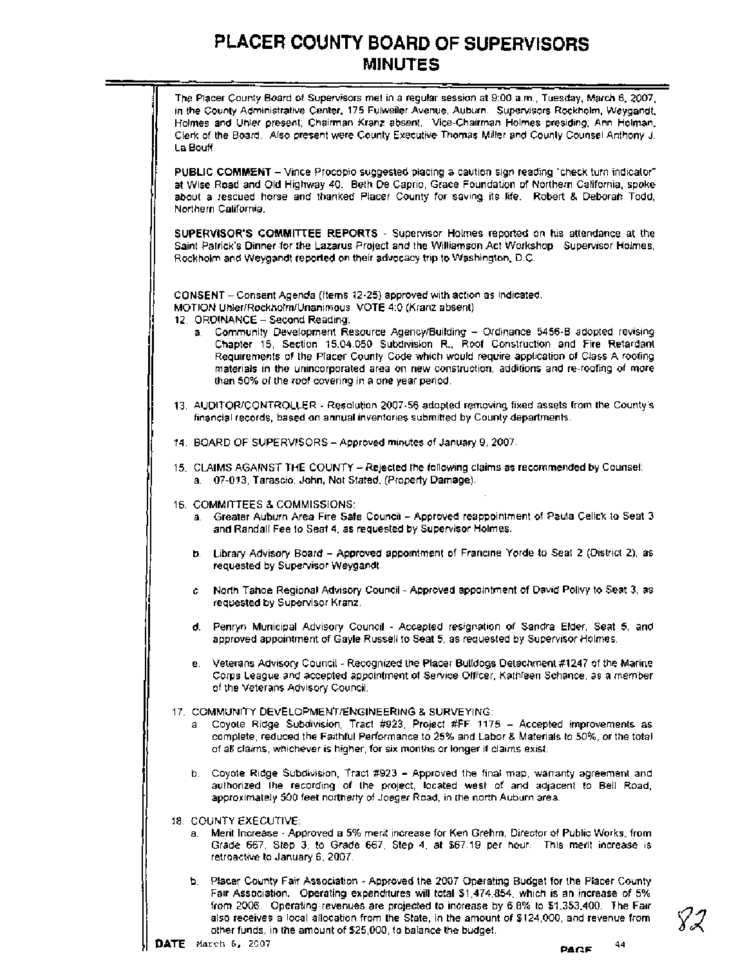| The Placer County Board of Supervisors met in a regular session at 9:00 a.m., Tuesday, March 6, 2007,<br>in the County Administrative Center, 175 Fulweiler Avenue, Auburn. Supervisors Rockholm, Weygandt,<br>Holmes and Uhler present; Chairman Kranz absent. Vice-Chairman Holmes presiding; Ann Holman,<br>Clerk of the Board. Also present were County Executive Thomas Miller and County Counsel Anthony J.<br>La Bouff    |
|----------------------------------------------------------------------------------------------------------------------------------------------------------------------------------------------------------------------------------------------------------------------------------------------------------------------------------------------------------------------------------------------------------------------------------|
| PUBLIC COMMENT - Vince Procopio suggested placing a caution sign reading "check furn indicator"<br>at Wise Road and Old Highway 40. Beth De Caprio, Grace Foundation of Northern California, spoke<br>about a rescued horse and thanked Placer County for saving its life. Robert & Deborah Todd,<br>Northern California.                                                                                                        |
| SUPERVISOR'S COMMITTEE REPORTS - Supervisor Holmes reported on his attendance at the<br>Saint Patrick's Dinner for the Lazarus Project and the Williamson Act Workshop Supervisor Holmes,<br>Rockholm and Weygandt reported on their advocacy trip to Washington, D.C.                                                                                                                                                           |
| CONSENT - Consent Agenda (Items 12-25) approved with action as indicated.<br>MOTION Uhler/Rockholm/Unanimous VOTE 4:0 (Kranz absent)<br>12. ORDINANCE - Second Reading:                                                                                                                                                                                                                                                          |
| Community Development Resource Agency/Building - Ordinance 5456-B adopted revising<br>a.<br>Chapter 15, Section 15.04.050 Subdivision R., Roof Construction and Fire Retardant<br>Requirements of the Placer County Code which would require application of Class A roofing<br>materials in the unincorporated area on new construction, additions and re-roofing of more<br>than 50% of the roof covering in a one year period. |
| 13. AUDITOR/CONTROLLER - Resolution 2007-56 adopted removing fixed assets from the County's<br>financial records, based on annual inventories submitted by County departments.                                                                                                                                                                                                                                                   |
| 14. BOARD OF SUPERVISORS - Approved minutes of January 9, 2007.                                                                                                                                                                                                                                                                                                                                                                  |
| 15. CLAIMS AGAINST THE COUNTY - Rejected the following claims as recommended by Counsel:<br>a. 07-013, Tarascio, John, Not Stated, (Property Damage).                                                                                                                                                                                                                                                                            |
| 16. COMMITTEES & COMMISSIONS:<br>a. Greater Auburn Area Fire Safe Council - Approved reappointment of Paula Celick to Seat 3<br>and Randall Fee to Seat 4, as requested by Supervisor Holmes.                                                                                                                                                                                                                                    |
| b. Library Advisory Board - Approved appointment of Francine Yorde to Seat 2 (District 2), as<br>requested by Supervisor Weygandt.                                                                                                                                                                                                                                                                                               |
| North Tahoe Regional Advisory Council - Approved appointment of David Polivy to Seat 3, as<br>c.<br>requested by Supervisor Kranz.                                                                                                                                                                                                                                                                                               |
| d. Penryn Municipal Advisory Council - Accepted resignation of Sandra Elder, Seat 5, and<br>approved appointment of Gayle Russell to Seat 5, as requested by Supervisor Holmes.                                                                                                                                                                                                                                                  |
| e. Veterans Advisory Council - Recognized the Placer Bulldogs Detachment #1247 of the Marine<br>Corps League and accepted appointment of Service Officer, Kathleen Schance, as a member<br>of the Veterans Advisory Council.                                                                                                                                                                                                     |
| 17. COMMUNITY DEVELOPMENT/ENGINEERING & SURVEYING:<br>Coyote Ridge Subdivision, Tract #923, Project #FF 1175 - Accepted improvements as<br>a<br>complete, reduced the Faithful Performance to 25% and Labor & Materials to 50%, or the total<br>of all claims, whichever is higher, for six months or longer if claims exist.                                                                                                    |
| b. Coyote Ridge Subdivision, Tract #923 - Approved the final map, warranty agreement and<br>authorized the recording of the project, located west of and adjacent to Bell Road,<br>approximately 500 feet northerly of Joeger Road, in the north Auburn area.                                                                                                                                                                    |
| 18. COUNTY EXECUTIVE:<br>a. Merit Increase - Approved a 5% merit increase for Ken Grehm, Director of Public Works, from<br>Grade 667, Step 3, to Grade 667, Step 4, at \$67.19 per hour. This merit increase is<br>retroactive to January 6, 2007.                                                                                                                                                                               |
| b. Placer County Fair Association - Approved the 2007 Operating Budget for the Placer County<br>Fair Association. Operating expenditures will total \$1,474,854, which is an increase of 5%<br>from 2006. Operating revenues are projected to increase by 6.8% to \$1,353,400. The Fair                                                                                                                                          |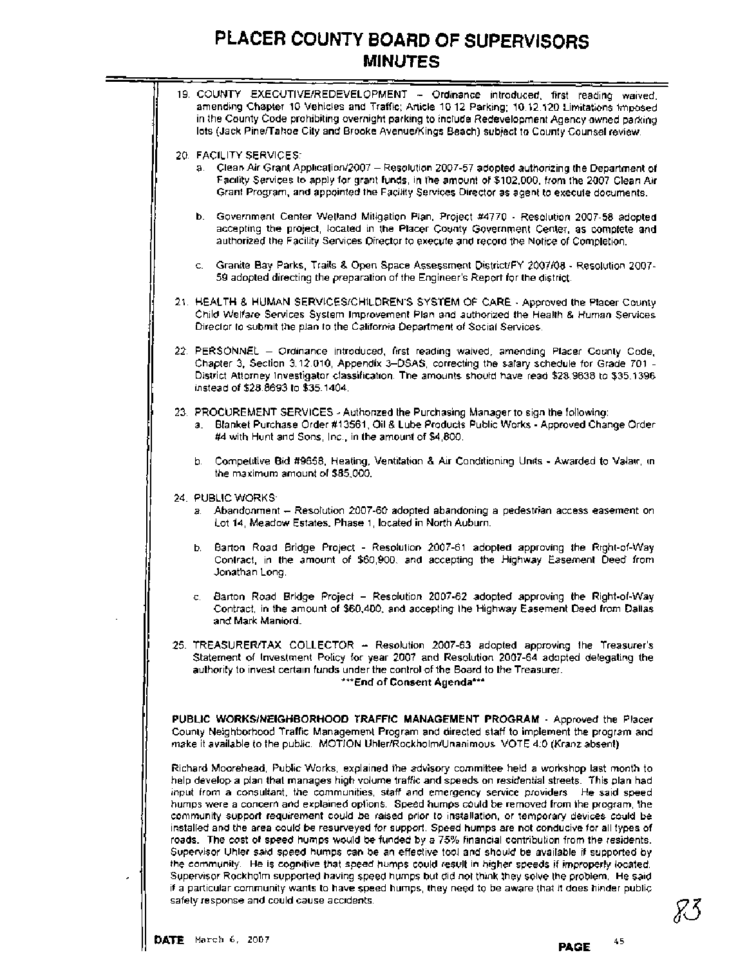| 19. COUNTY EXECUTIVE/REDEVELOPMENT - Ordinance introduced, first reading waived,<br>amending Chapter 10 Vehicles and Traffic; Article 10 12 Parking; 10.12.120 Limitations imposed<br>in the County Code prohibiting overnight parking to include Redevelopment Agency owned parking<br>lots (Jack Pine/Tahoe City and Brooke Avenue/Kings Beach) subject to County Counsel review.                                                                                                                                                                                                                                                                                                                                                                                                                                                                                                                                                                                                                                                                                                                                                                                                                           |
|---------------------------------------------------------------------------------------------------------------------------------------------------------------------------------------------------------------------------------------------------------------------------------------------------------------------------------------------------------------------------------------------------------------------------------------------------------------------------------------------------------------------------------------------------------------------------------------------------------------------------------------------------------------------------------------------------------------------------------------------------------------------------------------------------------------------------------------------------------------------------------------------------------------------------------------------------------------------------------------------------------------------------------------------------------------------------------------------------------------------------------------------------------------------------------------------------------------|
| 20. FACILITY SERVICES:<br>a. Clean Air Grant Application/2007 - Resolution 2007-57 adopted authorizing the Department of<br>Facility Services to apply for grant funds, in the amount of \$102,000, from the 2007 Clean Air<br>Grant Program, and appointed the Facility Services Director as agent to execute documents.                                                                                                                                                                                                                                                                                                                                                                                                                                                                                                                                                                                                                                                                                                                                                                                                                                                                                     |
| b. Government Center Wetland Mitigation Plan, Project #4770 - Resolution 2007-58 adopted<br>accepting the project, located in the Placer County Government Center, as complete and<br>authorized the Facility Services Director to execute and record the Notice of Completion.                                                                                                                                                                                                                                                                                                                                                                                                                                                                                                                                                                                                                                                                                                                                                                                                                                                                                                                               |
| c. Granite Bay Parks, Trails & Open Space Assessment District/FY 2007/08 - Resolution 2007-<br>59 adopted directing the preparation of the Engineer's Report for the district.                                                                                                                                                                                                                                                                                                                                                                                                                                                                                                                                                                                                                                                                                                                                                                                                                                                                                                                                                                                                                                |
| 21. HEALTH & HUMAN SERVICES/CHILDREN'S SYSTEM OF CARE - Approved the Placer County<br>Child Welfare Services System Improvement Plan and authorized the Health & Human Services<br>Director to submit the plan to the California Department of Social Services.                                                                                                                                                                                                                                                                                                                                                                                                                                                                                                                                                                                                                                                                                                                                                                                                                                                                                                                                               |
| 22. PERSONNEL - Ordinance introduced, first reading waived, amending Placer County Code,<br>Chapter 3, Section 3.12.010, Appendix 3-DSAS, correcting the salary schedule for Grade 701 -<br>District Attorney Investigator classification. The amounts should have read \$28,9638 to \$35,1396.<br>instead of \$28.8693 to \$35.1404.                                                                                                                                                                                                                                                                                                                                                                                                                                                                                                                                                                                                                                                                                                                                                                                                                                                                         |
| 23. PROCUREMENT SERVICES - Authorized the Purchasing Manager to sign the following:<br>a. Blanket Purchase Order #13561, Oil & Lube Products Public Works - Approved Change Order<br>#4 with Hunt and Sons, Inc., in the amount of \$4,800.                                                                                                                                                                                                                                                                                                                                                                                                                                                                                                                                                                                                                                                                                                                                                                                                                                                                                                                                                                   |
| b. Competitive Bid #9658, Heating, Ventilation & Air Conditioning Units - Awarded to Valair, in<br>the maximum amount of \$85,000.                                                                                                                                                                                                                                                                                                                                                                                                                                                                                                                                                                                                                                                                                                                                                                                                                                                                                                                                                                                                                                                                            |
| 24. PUBLIC WORKS<br>Abandonment - Resolution 2007-60 adopted abandoning a pedestrian access easement on<br>a.<br>Lot 14, Meadow Estates, Phase 1, located in North Auburn.                                                                                                                                                                                                                                                                                                                                                                                                                                                                                                                                                                                                                                                                                                                                                                                                                                                                                                                                                                                                                                    |
| b. Barton Road Bridge Project - Resolution 2007-61 adopted approving the Right-of-Way<br>Contract, in the amount of \$60,900, and accepting the Highway Easement Deed from<br>Jonathan Long.                                                                                                                                                                                                                                                                                                                                                                                                                                                                                                                                                                                                                                                                                                                                                                                                                                                                                                                                                                                                                  |
| Barton Road Bridge Project - Resolution 2007-62 adopted approving the Right-of-Way<br>$\mathbf{C}_{1}$<br>Contract, in the amount of \$60,400, and accepting the Highway Easement Deed from Dallas<br>and Mark Maniord.                                                                                                                                                                                                                                                                                                                                                                                                                                                                                                                                                                                                                                                                                                                                                                                                                                                                                                                                                                                       |
| 25. TREASURER/TAX COLLECTOR - Resolution 2007-63 adopted approving the Treasurer's<br>Statement of Investment Policy for year 2007 and Resolution 2007-64 adopted delegating the<br>authority to invest certain funds under the control of the Board to the Treasurer.<br>***End of Consent Agenda***                                                                                                                                                                                                                                                                                                                                                                                                                                                                                                                                                                                                                                                                                                                                                                                                                                                                                                         |
| PUBLIC WORKS/NEIGHBORHOOD TRAFFIC MANAGEMENT PROGRAM - Approved the Placer<br>County Neighborhood Traffic Management Program and directed staff to implement the program and<br>make it available to the public. MOTION Uhler/Rockholm/Unanimous VOTE 4:0 (Kranz absent)                                                                                                                                                                                                                                                                                                                                                                                                                                                                                                                                                                                                                                                                                                                                                                                                                                                                                                                                      |
| Richard Moorehead, Public Works, explained the advisory committee held a workshop last month to<br>help develop a plan that manages high volume traffic and speeds on residential streets. This plan had<br>input from a consultant, the communities, staff and emergency service providers. He said speed<br>humps were a concern and explained options. Speed humps could be removed from the program, the<br>community support requirement could be raised prior to installation, or temporary devices could be<br>installed and the area could be resurveyed for support. Speed humps are not conducive for all types of<br>roads. The cost of speed humps would be funded by a 75% financial contribution from the residents.<br>Supervisor Uhler said speed humps can be an effective tool and should be available if supported by<br>the community. He is cognitive that speed humps could result in higher speeds if improperly located.<br>Supervisor Rockholm supported having speed humps but did not think they solve the problem. He said<br>if a particular community wants to have speed humps, they need to be aware that it does hinder public<br>safety response and could cause accidents. |

 $\Box$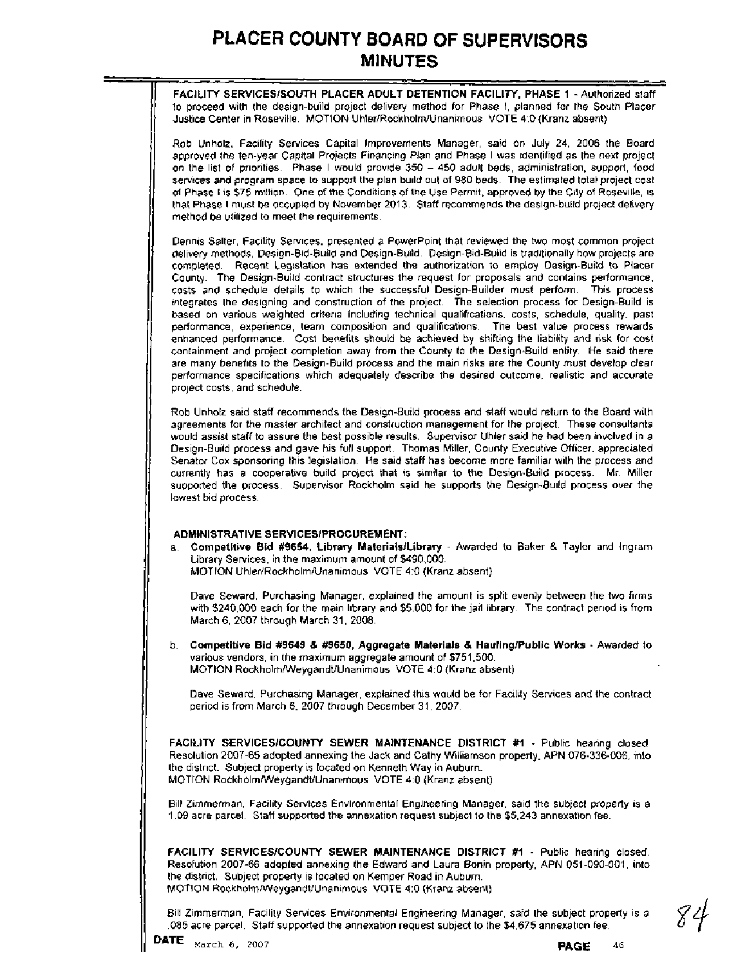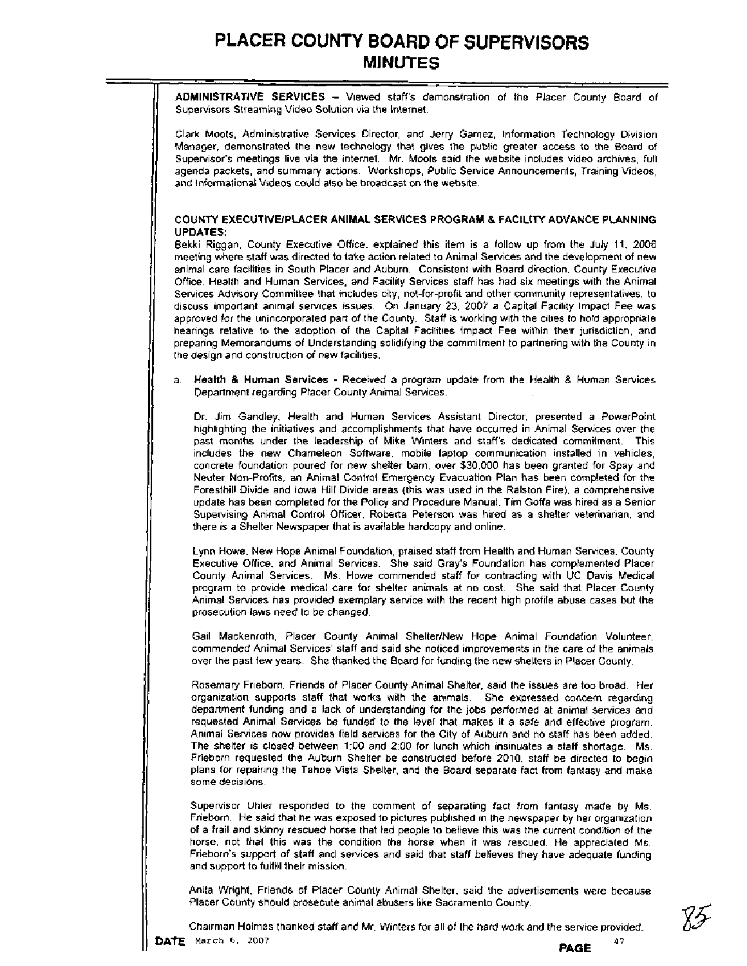**ADMINISTRATIVE SERVICES** - Viewed staff's demonstration of the Placer County Board of Supervisors Streaming Video Solution via the Internet.

Clark Moots, Administrative Services Director, and Jerry Gamez, Information Technology Division Manager, demonstrated the new technology that gives the public greater access to the Board of Supervisor's meetings live via the internet. Mr. Moots said the website includes video archives, full agenda packets, and summary actions. Workshops, Public Service Announcements, Training Videos, and Informational Videos could also be broadcast on the website.

#### **COUNTY EXECUTIVEIPLACER ANIMAL SERVICES PROGRAM** & **FACILITY ADVANCE PLANNING UPDATES:**

Bekki Riggan, County Executive Office, explained this item is a follow up from the July 11, 2006 meeting where staff was directed to take action related to Animal Services and the development of new animal care facilities in South Placer and Auburn. Consistent with Board direction, County Executive Office, Health and Human Services, and Facility Services staff has had six meetings with the Animal Services Advisory Committee that includes city, not-for-profit and other community representatives, to discuss important animal services issues. On January 23, 2007 a Capital Facility Impact Fee was approved for the unincorporated part of the County. Staff is working with the cities to hold appropriate hearings relative to the adoption of the Capital Facilities Impact Fee within their jurisdiction, and preparing Memorandums of Understanding solidifying the commitment to partnering with the County in the design and construction of new facilities.

a. **Health** & **Human Services** - Received a program update from the Health & Human Services Department regarding Placer County Animal Services.

Dr. Jim Gandley, Health and Human Services Assistant Director, presented a Powerpoint highlighting the initiatives and accomplishments that have occurred in Animal Services over the past months under the leadership of Mike Winters and staff's dedicated commitment. This includes the new Chameleon Software, mobile laptop communication installed in vehicles, concrete foundation poured for new shelter barn, over \$30,000 has been granted for Spay and Neuter Non-Profits, an Animal Control Emergency Evacuation Plan has been completed for the Foresthill Divide and Iowa Hill Divide areas (this was used in the Ralston Fire), a comprehensive update has been completed for the Policy and Procedure Manual, Tim Goffa was hired as a Senior Supervising Animal Control Officer, Roberta Peterson was hired as a shelter veterinarian, and there is a Shelter Newspaper that is available hardcopy and online.

Lynn Howe, New Hope Animal Foundation, praised staff from Health and Human Services. County Executive Office, and Animal Services. She said Gray's Foundation has complemented Placer County Animal Services. Ms. Howe commended staff for contracting with UC Davis Medical program to provide medical care for shelter animals at no cost. She said that Placer County Animal Services has provided exemplary service with the recent high profile abuse cases but the prosecution laws need to be changed.

Gail Mackenroth, Placer County Animal ShelterINew Hope Animal Foundation Volunteer, commended Animal Services' staff and said she noticed improvements in the care of the animals over the past few years. She thanked the Board for funding the new shelters in Placer County.

Rosemary Frieborn, Friends of Placer County Animal Shelter, said the issues are too broad. Her organization supports staff that works with the animals. She expressed concern regarding department funding and a lack of understanding for the jobs performed at animal services and requested Animal Services be funded to the level that makes it a safe and effective program. Animal Services now provides field services for the City of Auburn and no staff has been added. The shelter is closed between 1:00 and 2:00 for lunch which insinuates a staff shortage. Ms. Frieborn requested the Auburn Shelter be constructed before 2010, staff be directed to begin plans for repairing the Tahoe Vista Shelter, and the Board separate fact from fantasy and make some decisions.

Supervisor Uhler responded to the comment of separating fact from fantasy made by Ms. Frieborn. He said that he was exposed to pictures published in the newspaper by her organization of a frail and skinny rescued horse that led people to believe this was the current condition of the horse, not that this was the condition the horse when it was rescued. He appreciated Ms. Frieborn's support of staff and services and said that staff believes they have adequate funding and support to fulfill their mission.

Anita Wright, Friends of Placer County Animal Shelter, said the advertisements were because Placer County should prosecute animal abusers like Sacramento County.

Chairman Holmes thanked staff and Mr. Winters for all of the hard work and the service provided.<br>Maxch 6, 2007 47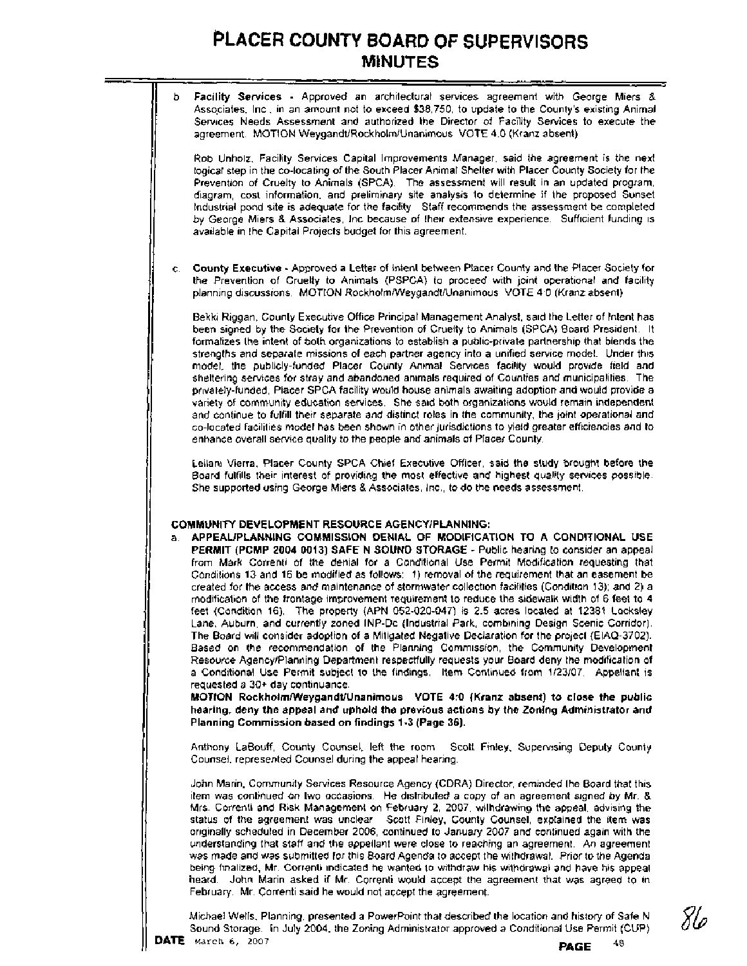b. **Facility Services** - Approved an architectural services agreement with George Miers & Associates, Inc., in an amount not to exceed \$38,750, to update to the County's existing Animal Services Needs Assessment and authorized the Director of Facility Services to execute the agreement. MOTION WeygandtlRockholmlUnanimous VOTE 4:O (Kranz absent)

Rob Unholz, Facility Services Capital Improvements Manager, said the agreement is the next logical step in the co-locating of the South Placer Animal Shelter with Placer County Society for the Prevention of Cruelty to Animals (SPCA). The assessment will result in an updated program, diagram, cost information, and preliminary site analysis to determine if the proposed Sunset Industrial pond site is adequate for the facility. Staff recommends the assessment be completed by George Miers & Associates, Inc because of their extensive experience. Sufficient funding is available in the Capital Projects budget for this agreement.

c. **County Executive** - Approved a Letter of Intent between Placer County and the Placer Society for the Prevention of Cruelty to Animals (PSPCA) to proceed with joint operational and facility planning discussions. MOTION RockholmNVeygandtlUnanimous VOTE 4:O (Kranz absent)

Bekki Riggan, County Executive Office Principal Management Analyst, said the Letter of Intent has been signed by the Society for the Prevention of Cruelty to Animals (SPCA) Board President. It formalizes the intent of both organizations to establish a public-private partnership that blends the strengths and separate missions of each partner agency into a unified service model. Under this model, the publicly-funded Placer County Animal Services facility would provide field and sheltering services for stray and abandoned animals required of Counties and municipalities. The privately-funded, Placer SPCA facility would house animals awaiting adoption and would provide a variety of community education services. She said both organizations would remain independent and continue to fulfill their separate and distinct roles in the community, the joint operational and co-located facilities model has been shown in other jurisdictions to yield greater efficiencies and to enhance overall service quality to the people and animals of Placer County.

Leilani Vierra, Placer County SPCA Chief Executive Officer, said the study brought before the Board fulfills their interest of providing the most effective and highest quality services possible. She supported using George Miers & Associates, Inc., to do the needs assessment.

#### **COMMUNITY DEVELOPMENT RESOURCE AGENCYIPLANNING:**

a. **APPEAUPLANNING COMMISSION DENIAL OF MODIFICATION TO A CONDITIONAL USE PERMIT (PCMP 2004 0013) SAFE N SOUND STORAGE** - Public hearing to consider an appeal from Mark Correnti of the denial for a Conditional Use Permit Modification requesting that Conditions 13 and 16 be modified as follows: 1) removal of the requirement that an easement be created for the access and maintenance of stormwater collection facilities (Condition 13); and 2) a modification of the frontage improvement requirement to reduce the sidewalk width of 6 feet to 4 feet (Condition 16). The property (APN 052-020-047) is 2.5 acres located at 12381 Locksley Lane, Auburn, and currently zoned INP-Dc (Industrial Park, combining Design Scenic Corridor). The Board will consider adoption of a Mitigated Negative Declaration for the project (EIAQ-3702). Based on the recommendation of the Planning Commission, the Community Development Resource AgencyIPlanning Department respectfully requests your Board deny the modification of. a Conditional Use Permit subject to the findings. Item Continued from 1/23/07. Appellant is requested a 30+ day continuance.

**MOTION Rockholm/Weygandt/Unanimous VOTE 4:O (Kranz absent) to close the public hearing, deny the appeal and uphold the previous actions by the Zoning Administrator and Planning Commission based on findings 1-3 (Page 36).** 

Anthony LaBouff, County Counsel, left the room. Scott Finley, Supervising Deputy County Counsel, represented Counsel during the appeal hearing.

John Marin, Community Services Resource Agency (CDRA) Director, reminded the Board that this item was continued on two occasions. He distributed a copy of an agreement signed by Mr. & Mrs. Correnti and Risk Management on February 2, 2007, withdrawing the appeal, advising the status of the agreement was unclear. Scott Finley, County Counsel, explained the item was originally scheduled in December 2006, continued to January 2007 and continued again with the understanding that staff and the appellant were close to reaching an agreement. An agreement was made and was submitted for this Board Agenda to accept the withdrawal. Prior to the Agenda being finalized, Mr. Correnti indicated he wanted to withdraw his withdrawal and have his appeal heard. John Marin asked if Mr. Correnti would accept the agreement that was agreed to in February. Mr. Correnti said he would not accept the agreement.

Michael Wells, Planning, presented a Powerpoint that described the location and history of Safe N Sound Storage. In July 2004, the Zoning Administrator approved a Conditional Use Permit (CUP) **DATE March 6, 2007 PAGE**  $^{48}$ 

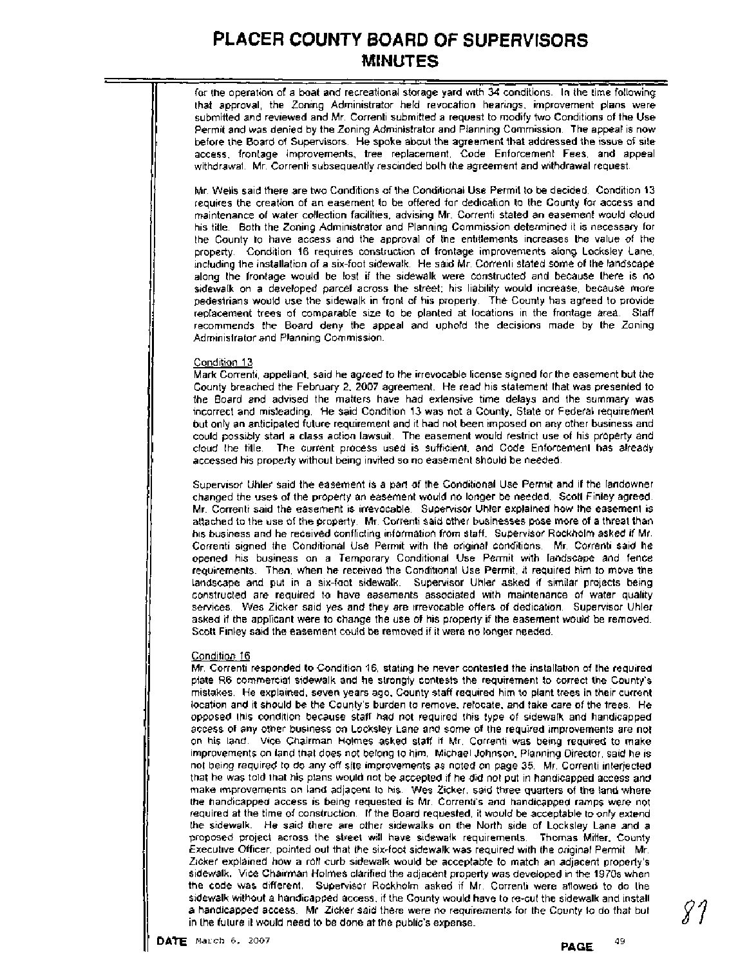for the operation of a boat and recreational storage yard with 34 conditions. In the time following that approval, the Zoning Administrator held revocation hearings, improvement plans were submitted and reviewed and Mr. Correnti submitted a request to modify two Conditions of the Use Permit and was denied by the Zoning Administrator and Planning Commission. The appeal is now before the Board of Supervisors. He spoke about the agreement that addressed the issue of site access, frontage improvements, tree replacement, Code Enforcement Fees, and appeal withdrawal. Mr. Correnti subsequently rescinded both the agreement and withdrawal request.

Mr. Wells said there are two Conditions of the Conditional Use Permit to be decided. Condition 13 requires the creation of an easement to be offered for dedication to the County for access and maintenance of water collection facilities, advising Mr. Correnti stated an easement would cloud his title. Both the Zoning Administrator and Planning Commission determined it is necessary for the County to have access and the approval of the entitlements increases the value of the property. Condition 16 requires construction of frontage improvements along Locksley Lane, including the installation of a six-foot sidewalk. He said Mr. Correnti stated some of the landscape along the frontage would be lost if the sidewalk were constructed and because there is no sidewalk on a developed parcel across the street; his liability would increase, because more pedestrians would use the sidewalk in front of his property. The County has agreed to provide replacement trees of comparable size to be planted at locations in the frontage area. Staff recommends the Board deny the appeal and uphold the decisions made by the Zoning Administrator and Planning Commission.

#### Condition 13

Mark Correnti, appellant, said he agreed to the irrevocable license signed for the easement but the County breached the February 2, 2007 agreement. He read his statement that was presented to the Board and advised the matters have had extensive time delays and the summary was incorrect and misleading. He said Condition 13 was not a County, State or Federal requirement but only an anticipated future requirement and it had not been imposed on any other business and could possibly start a class action lawsuit. The easement would restrict use of his property and cloud the title. The current process used is sufficient, and Code Enforcement has already accessed his property without being invited so no easement should be needed.

Supervisor Uhler said the easement is a part of the Conditional Use Permit and if the landowner changed the uses of the property an easement would no longer be needed. Scott Finley agreed. Mr. Correnti said the easement is irrevocable. Supervisor Uhler explained how the easement is attached to the use of the property. Mr. Correnti said other businesses pose more of a threat than his business and he received conflicting information from staff. Supervisor Rockholm asked if Mr. Correnti signed the Conditional Use Permit with the original conditions. Mr. Correnti said he opened his business on a Temporary Conditional Use Permit with landscape and fence requirements. Then, when he received the Conditional Use Permit, it required him to move the landscape and put in a six-foot sidewalk. Supervisor Uhler asked if similar projects being constructed are required to have easements associated with maintenance of water quality services. Wes Zicker said yes and they are irrevocable offers of dedication. Supervisor Uhler asked if the applicant were to change the use of his property if the easement would be removed. Scott Finley said the easement could be removed if it were no longer needed.

#### Condition 16

Mr. Correnti resoonded to Condition 16. statina he never contested the installation of the reauired plate R6 commercial sidewalk and he strongly contests the requirement to correct the County's mistakes. He explained, seven years ago, County staff required him to plant trees in their current location and it should be the County's burden to remove, relocate, and take care of the trees. He opposed this condition because staff had not required this type of sidewalk and handicapped access of any other business on Locksley Lane and some of the required improvements are not on his land. Vice Chairman Holmes asked staff if Mr. Correnti was being required to make improvements on land that does not belong to him. Michael Johnson, Planning Director, said he is not being required to do any off site improvements as noted on page 35. Mr. Correnti interjected that he was told that his plans would not be accepted if he did not put in handicapped access and make improvements on land adjacent to his. Wes Zicker, said three quarters of the land where the handicapped access is being requested is Mr. Correnti's and handicapped ramps were not required at the time of construction. If the Board requested, it would be acceptable to only extend the sidewalk. He said there are other sidewalks on the North side of Locksley Lane and a proposed project across the street will have sidewalk requirements. Thomas Miller. County Executive Officer, pointed out that the six-foot sidewalk was required with the original Permit. Mr. Zicker explained how a roll curb sidewalk would be acceptable to match an adjacent property's sidewalk. Vice Chairman Holmes clarified the adjacent property was developed in the 1970s when the code was different. Supervisor Rockholm asked if Mr. Correnti were allowed to do the sidewalk without a handicapped access, if the County would have to re-cut the sidewalk and install a handicapped access. Mr. Zicker said there were no requirements for the County to do that but in the future it would need to be done at the public's expense.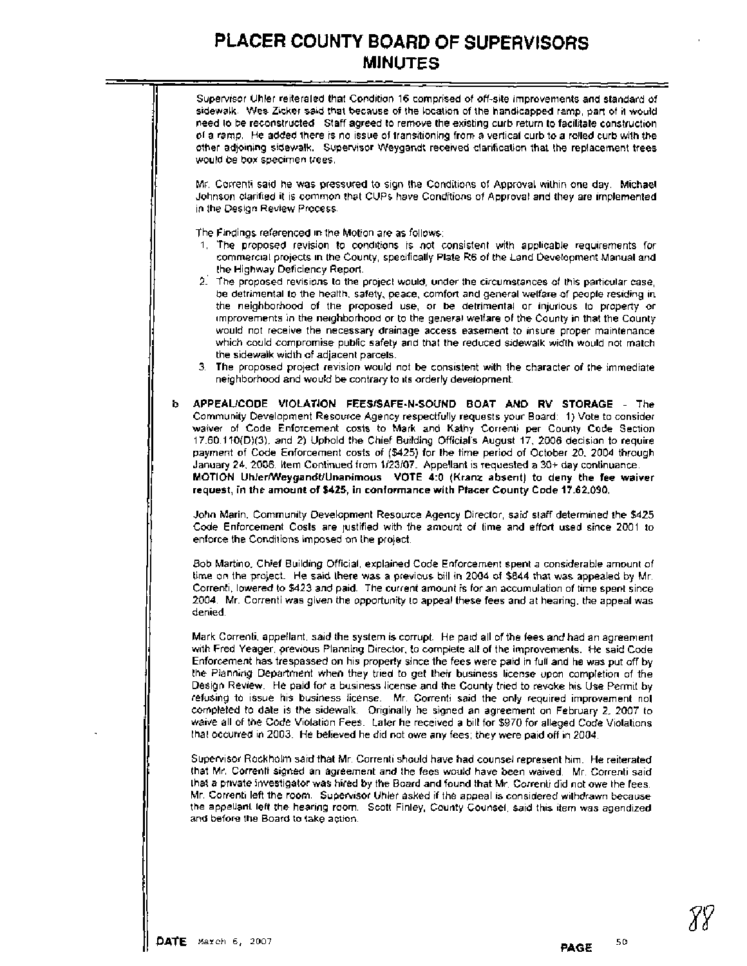Supervisor Uhler reiterated that Condition 16 comprised of off-site improvements and standard of sidewalk. Wes Zicker said that because of the location of the handicapped ramp, part of it would need to be reconstructed. Staff agreed to remove the existing curb return to facilitate construction of a ramp. He added there is no issue of transitioning from a vertical curb to a rolled curb with the other adjoining sidewalk. Supervisor Weygandt received clarification that the replacement trees would be box specimen trees.

Mr. Correnti said he was pressured to sign the Conditions of Approval within one day. Michael Johnson clarified it is common that CUPS have Conditions of Approval and they are implemented in the Design Review Process.

The Findings referenced in the Motion are as follows:

- 1. The proposed revision to conditions is not consistent with applicable requirements for commercial projects in the County, specifically Plate R6 of the Land Development Manual and the Highway Deficiency Report.
- 2: The proposed revisions to the project would, under the circumstances of this particular case, be detrimental to the health, safety, peace, comfort and general welfare of people residing in the neighborhood of the proposed use, or be detrimental or injurious to property or improvements in the neighborhood or to the general welfare of the County in that the County would not receive the necessary drainage access easement to insure proper maintenance which could compromise public safety and that the reduced sidewalk width would not match the sidewalk width of adjacent parcels.
- 3. The proposed project revision would not be consistent with the character of the immediate neighborhood and would be contrary to its orderly development.
- b. **APPEAUCODE VIOLATION FEESISAFE-N-SOUND BOAT AND RV STORAGE**  The Community Development Resource Agency respectfully requests your Board: 1) Vote to consider waiver of Code Enforcement costs to Mark and Kathy Correnti per County Code Section 17.60.110(D)(3), and 2) Uphold the Chief Building Official's August 17, 2006 decision to require payment of Code Enforcement costs of (\$425) for the time period of October 20, 2004 through January 24, 2006. Item Continued from 1/23/07. Appellant is requested a 30+ day continuance. **MOTION UhlerMleygandtlUnanimous VOTE 4:O (Kranz absent) to deny the fee waiver request, in the amount of \$425, in conformance with Placer County Code 17.62.090.**

John Marin, Community Development Resource Agency Director, said staff determined the \$425 Code Enforcement Costs are justified with the amount of time and effort used since 2001 to enforce the Conditions imposed on the project.

Bob Martino, Chief Building Official, explained Code Enforcement spent a considerable amount of time on the project. He said there was a previous bill in 2004 of \$844 that was appealed by Mr. Correnti, lowered to \$423 and paid. The current amount is for an accumulation of time spent since 2004. Mr. Correnti was given the opportunity to appeal these fees and at hearing, the appeal was denied.

Mark Correnti, appellant, said the system is corrupt. He paid all of the fees and had an agreement with Fred Yeager, previous Planning Director, to complete all of the improvements. He said Code Enforcement has trespassed on his property since the fees were paid in full and he was put off by the Planning Department when they tried to get their business license upon completion of the Design Review. He paid for a business license and the County tried to revoke his Use Permit by refusing to issue his business license. Mr. Correnti said the only required improvement not completed to date is the sidewalk. Originally he signed an agreement on February 2, 2007 to waive all of the Code Violation Fees. Later he received a bill for \$970 for alleged Code Violations that occurred in 2003. He believed he did not owe any fees; they were paid off in 2004.

Supervisor Rockholm said that Mr. Correnti should have had counsel represent him. He reiterated that Mr. Correnti signed an agreement and the fees would have been waived. Mr. Correnti said that a private investigator was hired by the Board and found that Mr. Correnti did not owe the fees. Mr. Correnti left the room. Supervisor Uhler asked if the appeal is considered withdrawn because the appellant left the hearing room. Scott Finley, County Counsel, said this item was agendized and before the Board to take action.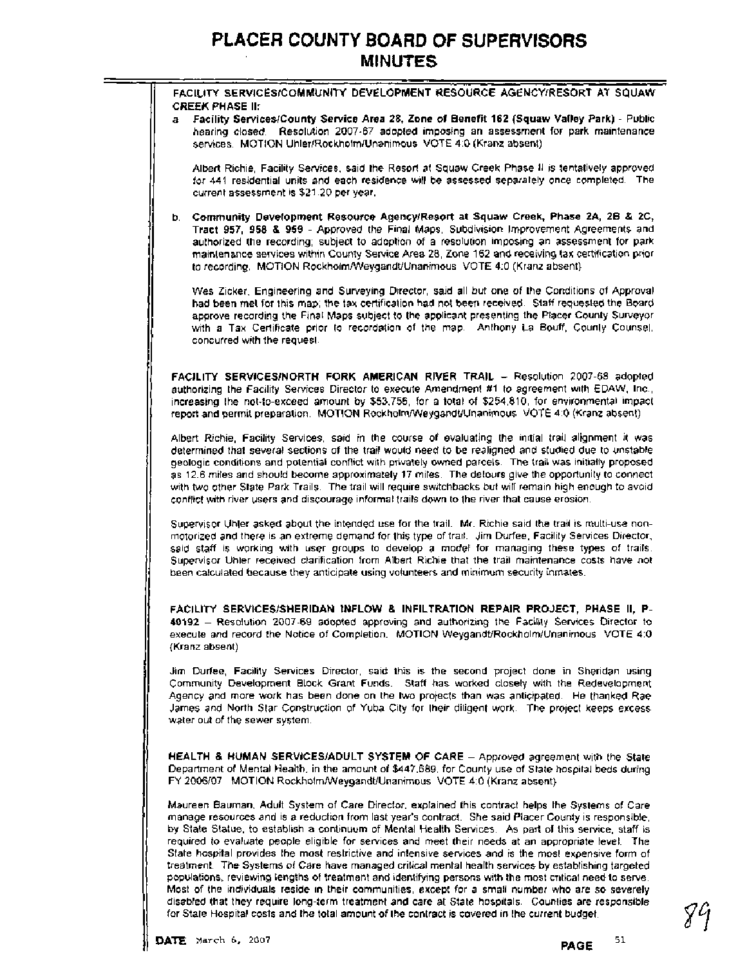